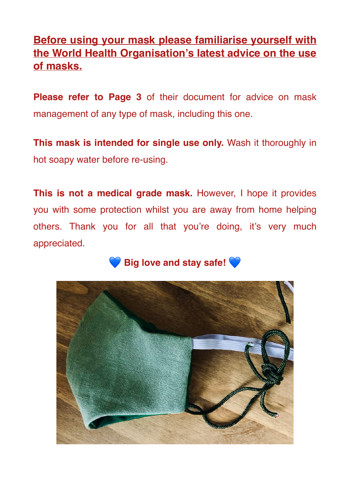## **Before using your mask please familiarise yourself with the World Health Organisation's latest advice on the use of masks.**

**Please refer to Page 3** of their document for advice on mask management of any type of mask, including this one.

**This mask is intended for single use only.** Wash it thoroughly in hot soapy water before re-using.

**This is not a medical grade mask.** However, I hope it provides you with some protection whilst you are away from home helping others. Thank you for all that you're doing, it's very much appreciated.

**Big love and stay safe!**

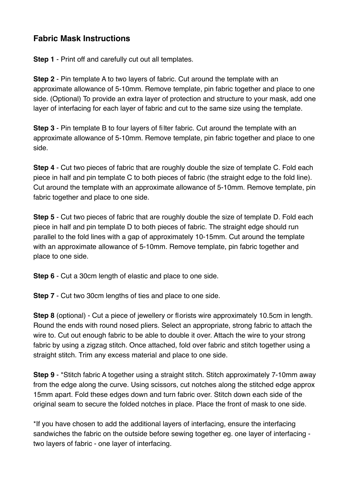## **Fabric Mask Instructions**

**Step 1** - Print off and carefully cut out all templates.

**Step 2** - Pin template A to two layers of fabric. Cut around the template with an approximate allowance of 5-10mm. Remove template, pin fabric together and place to one side. (Optional) To provide an extra layer of protection and structure to your mask, add one layer of interfacing for each layer of fabric and cut to the same size using the template.

**Step 3** - Pin template B to four layers of filter fabric. Cut around the template with an approximate allowance of 5-10mm. Remove template, pin fabric together and place to one side.

**Step 4** - Cut two pieces of fabric that are roughly double the size of template C. Fold each piece in half and pin template C to both pieces of fabric (the straight edge to the fold line). Cut around the template with an approximate allowance of 5-10mm. Remove template, pin fabric together and place to one side.

**Step 5** - Cut two pieces of fabric that are roughly double the size of template D. Fold each piece in half and pin template D to both pieces of fabric. The straight edge should run parallel to the fold lines with a gap of approximately 10-15mm. Cut around the template with an approximate allowance of 5-10mm. Remove template, pin fabric together and place to one side.

**Step 6** - Cut a 30cm length of elastic and place to one side.

**Step 7** - Cut two 30cm lengths of ties and place to one side.

**Step 8** (optional) - Cut a piece of jewellery or florists wire approximately 10.5cm in length. Round the ends with round nosed pliers. Select an appropriate, strong fabric to attach the wire to. Cut out enough fabric to be able to double it over. Attach the wire to your strong fabric by using a zigzag stitch. Once attached, fold over fabric and stitch together using a straight stitch. Trim any excess material and place to one side.

**Step 9** - \*Stitch fabric A together using a straight stitch. Stitch approximately 7-10mm away from the edge along the curve. Using scissors, cut notches along the stitched edge approx 15mm apart. Fold these edges down and turn fabric over. Stitch down each side of the original seam to secure the folded notches in place. Place the front of mask to one side.

\*If you have chosen to add the additional layers of interfacing, ensure the interfacing sandwiches the fabric on the outside before sewing together eg. one layer of interfacing two layers of fabric - one layer of interfacing.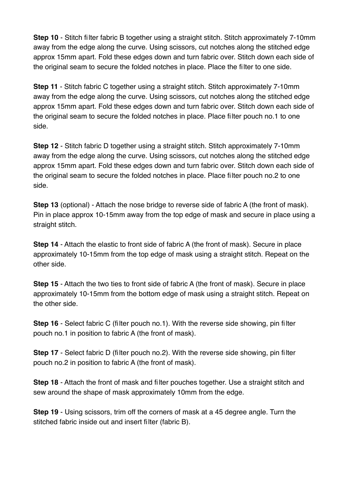**Step 10** - Stitch filter fabric B together using a straight stitch. Stitch approximately 7-10mm away from the edge along the curve. Using scissors, cut notches along the stitched edge approx 15mm apart. Fold these edges down and turn fabric over. Stitch down each side of the original seam to secure the folded notches in place. Place the filter to one side.

**Step 11** - Stitch fabric C together using a straight stitch. Stitch approximately 7-10mm away from the edge along the curve. Using scissors, cut notches along the stitched edge approx 15mm apart. Fold these edges down and turn fabric over. Stitch down each side of the original seam to secure the folded notches in place. Place filter pouch no.1 to one side.

**Step 12** - Stitch fabric D together using a straight stitch. Stitch approximately 7-10mm away from the edge along the curve. Using scissors, cut notches along the stitched edge approx 15mm apart. Fold these edges down and turn fabric over. Stitch down each side of the original seam to secure the folded notches in place. Place filter pouch no.2 to one side.

**Step 13** (optional) - Attach the nose bridge to reverse side of fabric A (the front of mask). Pin in place approx 10-15mm away from the top edge of mask and secure in place using a straight stitch.

**Step 14** - Attach the elastic to front side of fabric A (the front of mask). Secure in place approximately 10-15mm from the top edge of mask using a straight stitch. Repeat on the other side.

**Step 15** - Attach the two ties to front side of fabric A (the front of mask). Secure in place approximately 10-15mm from the bottom edge of mask using a straight stitch. Repeat on the other side.

**Step 16** - Select fabric C (filter pouch no.1). With the reverse side showing, pin filter pouch no.1 in position to fabric A (the front of mask).

**Step 17** - Select fabric D (filter pouch no.2). With the reverse side showing, pin filter pouch no.2 in position to fabric A (the front of mask).

**Step 18** - Attach the front of mask and filter pouches together. Use a straight stitch and sew around the shape of mask approximately 10mm from the edge.

**Step 19** - Using scissors, trim off the corners of mask at a 45 degree angle. Turn the stitched fabric inside out and insert filter (fabric B).